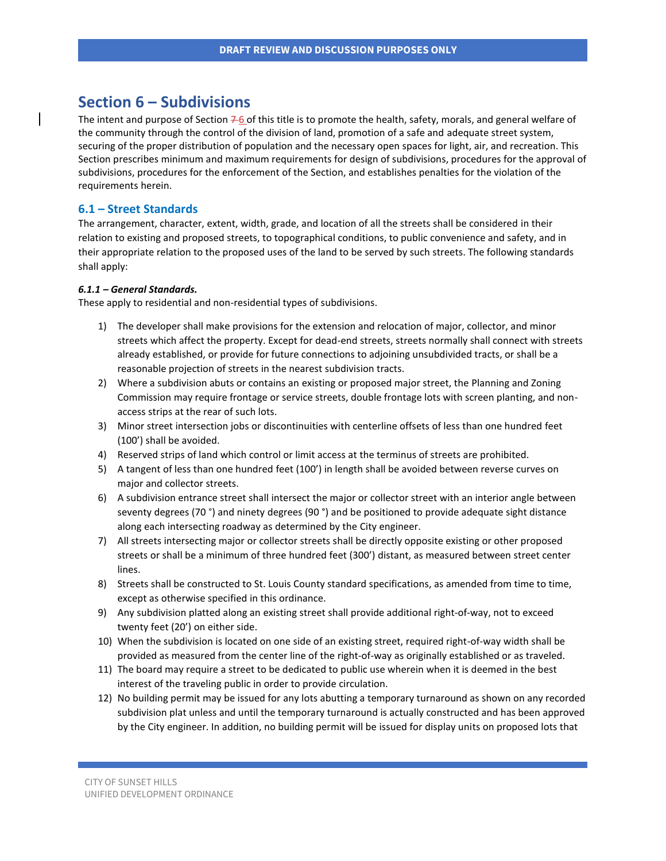# **Section 6 – Subdivisions**

The intent and purpose of Section  $76$  of this title is to promote the health, safety, morals, and general welfare of the community through the control of the division of land, promotion of a safe and adequate street system, securing of the proper distribution of population and the necessary open spaces for light, air, and recreation. This Section prescribes minimum and maximum requirements for design of subdivisions, procedures for the approval of subdivisions, procedures for the enforcement of the Section, and establishes penalties for the violation of the requirements herein.

## **6.1 – Street Standards**

The arrangement, character, extent, width, grade, and location of all the streets shall be considered in their relation to existing and proposed streets, to topographical conditions, to public convenience and safety, and in their appropriate relation to the proposed uses of the land to be served by such streets. The following standards shall apply:

### *6.1.1 – General Standards.*

These apply to residential and non-residential types of subdivisions.

- 1) The developer shall make provisions for the extension and relocation of major, collector, and minor streets which affect the property. Except for dead-end streets, streets normally shall connect with streets already established, or provide for future connections to adjoining unsubdivided tracts, or shall be a reasonable projection of streets in the nearest subdivision tracts.
- 2) Where a subdivision abuts or contains an existing or proposed major street, the Planning and Zoning Commission may require frontage or service streets, double frontage lots with screen planting, and nonaccess strips at the rear of such lots.
- 3) Minor street intersection jobs or discontinuities with centerline offsets of less than one hundred feet (100') shall be avoided.
- 4) Reserved strips of land which control or limit access at the terminus of streets are prohibited.
- 5) A tangent of less than one hundred feet (100') in length shall be avoided between reverse curves on major and collector streets.
- 6) A subdivision entrance street shall intersect the major or collector street with an interior angle between seventy degrees (70 °) and ninety degrees (90 °) and be positioned to provide adequate sight distance along each intersecting roadway as determined by the City engineer.
- 7) All streets intersecting major or collector streets shall be directly opposite existing or other proposed streets or shall be a minimum of three hundred feet (300') distant, as measured between street center lines.
- 8) Streets shall be constructed to St. Louis County standard specifications, as amended from time to time, except as otherwise specified in this ordinance.
- 9) Any subdivision platted along an existing street shall provide additional right-of-way, not to exceed twenty feet (20') on either side.
- 10) When the subdivision is located on one side of an existing street, required right-of-way width shall be provided as measured from the center line of the right-of-way as originally established or as traveled.
- 11) The board may require a street to be dedicated to public use wherein when it is deemed in the best interest of the traveling public in order to provide circulation.
- 12) No building permit may be issued for any lots abutting a temporary turnaround as shown on any recorded subdivision plat unless and until the temporary turnaround is actually constructed and has been approved by the City engineer. In addition, no building permit will be issued for display units on proposed lots that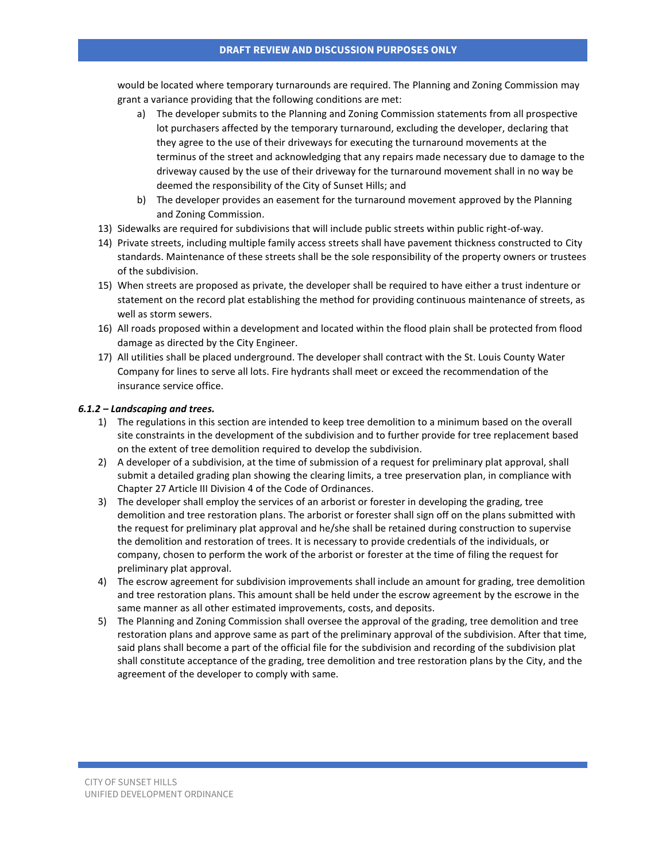would be located where temporary turnarounds are required. The Planning and Zoning Commission may grant a variance providing that the following conditions are met:

- a) The developer submits to the Planning and Zoning Commission statements from all prospective lot purchasers affected by the temporary turnaround, excluding the developer, declaring that they agree to the use of their driveways for executing the turnaround movements at the terminus of the street and acknowledging that any repairs made necessary due to damage to the driveway caused by the use of their driveway for the turnaround movement shall in no way be deemed the responsibility of the City of Sunset Hills; and
- b) The developer provides an easement for the turnaround movement approved by the Planning and Zoning Commission.
- 13) Sidewalks are required for subdivisions that will include public streets within public right-of-way.
- 14) Private streets, including multiple family access streets shall have pavement thickness constructed to City standards. Maintenance of these streets shall be the sole responsibility of the property owners or trustees of the subdivision.
- 15) When streets are proposed as private, the developer shall be required to have either a trust indenture or statement on the record plat establishing the method for providing continuous maintenance of streets, as well as storm sewers.
- 16) All roads proposed within a development and located within the flood plain shall be protected from flood damage as directed by the City Engineer.
- 17) All utilities shall be placed underground. The developer shall contract with the St. Louis County Water Company for lines to serve all lots. Fire hydrants shall meet or exceed the recommendation of the insurance service office.

### *6.1.2 – Landscaping and trees.*

- 1) The regulations in this section are intended to keep tree demolition to a minimum based on the overall site constraints in the development of the subdivision and to further provide for tree replacement based on the extent of tree demolition required to develop the subdivision.
- 2) A developer of a subdivision, at the time of submission of a request for preliminary plat approval, shall submit a detailed grading plan showing the clearing limits, a tree preservation plan, in compliance with Chapter 27 Article III Division 4 of the Code of Ordinances.
- 3) The developer shall employ the services of an arborist or forester in developing the grading, tree demolition and tree restoration plans. The arborist or forester shall sign off on the plans submitted with the request for preliminary plat approval and he/she shall be retained during construction to supervise the demolition and restoration of trees. It is necessary to provide credentials of the individuals, or company, chosen to perform the work of the arborist or forester at the time of filing the request for preliminary plat approval.
- 4) The escrow agreement for subdivision improvements shall include an amount for grading, tree demolition and tree restoration plans. This amount shall be held under the escrow agreement by the escrowe in the same manner as all other estimated improvements, costs, and deposits.
- 5) The Planning and Zoning Commission shall oversee the approval of the grading, tree demolition and tree restoration plans and approve same as part of the preliminary approval of the subdivision. After that time, said plans shall become a part of the official file for the subdivision and recording of the subdivision plat shall constitute acceptance of the grading, tree demolition and tree restoration plans by the City, and the agreement of the developer to comply with same.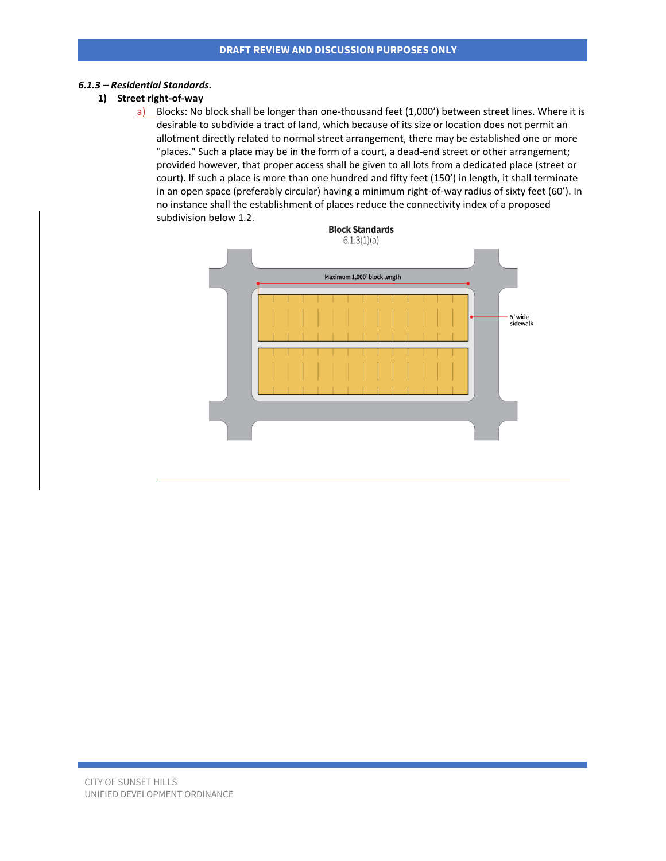#### *6.1.3 – Residential Standards.*

### **1) Street right-of-way**

a) Blocks: No block shall be longer than one-thousand feet (1,000') between street lines. Where it is desirable to subdivide a tract of land, which because of its size or location does not permit an allotment directly related to normal street arrangement, there may be established one or more "places." Such a place may be in the form of a court, a dead-end street or other arrangement; provided however, that proper access shall be given to all lots from a dedicated place (street or court). If such a place is more than one hundred and fifty feet (150') in length, it shall terminate in an open space (preferably circular) having a minimum right-of-way radius of sixty feet (60'). In no instance shall the establishment of places reduce the connectivity index of a proposed subdivision below 1.2.

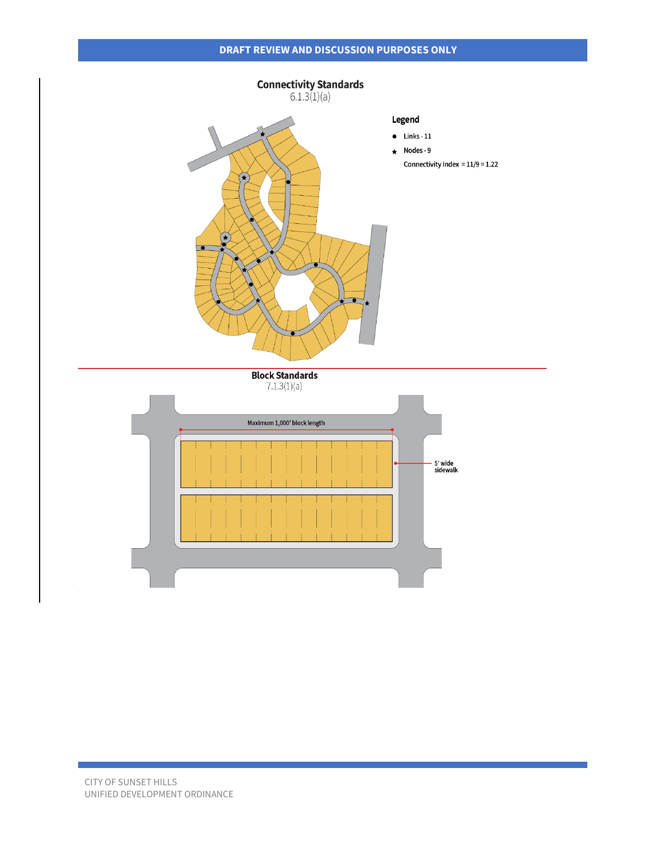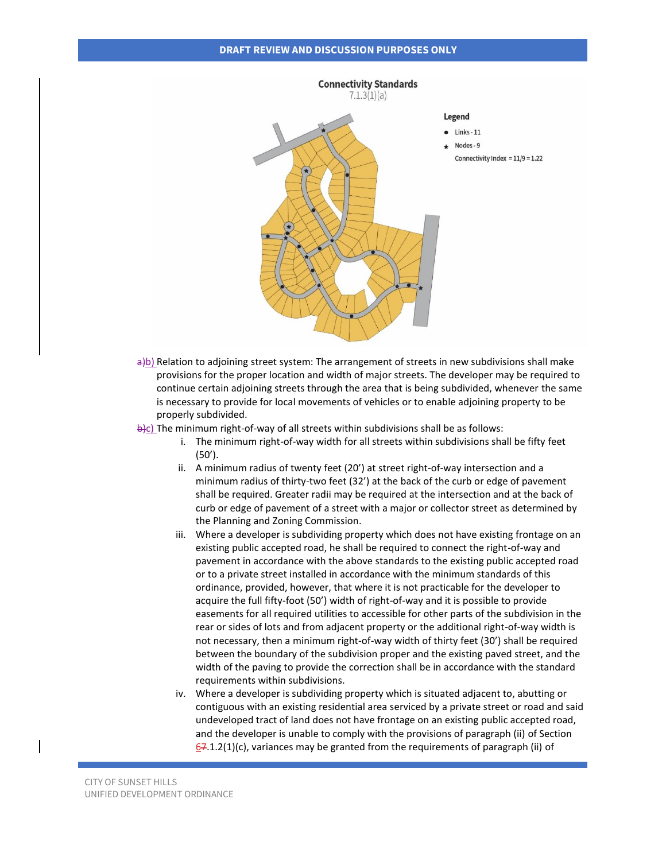

 $\frac{a}{b}$ ) Relation to adjoining street system: The arrangement of streets in new subdivisions shall make provisions for the proper location and width of major streets. The developer may be required to continue certain adjoining streets through the area that is being subdivided, whenever the same is necessary to provide for local movements of vehicles or to enable adjoining property to be properly subdivided.

 $\frac{b}{c}$ ) The minimum right-of-way of all streets within subdivisions shall be as follows:

- i. The minimum right-of-way width for all streets within subdivisions shall be fifty feet (50').
- ii. A minimum radius of twenty feet (20') at street right-of-way intersection and a minimum radius of thirty-two feet (32') at the back of the curb or edge of pavement shall be required. Greater radii may be required at the intersection and at the back of curb or edge of pavement of a street with a major or collector street as determined by the Planning and Zoning Commission.
- iii. Where a developer is subdividing property which does not have existing frontage on an existing public accepted road, he shall be required to connect the right-of-way and pavement in accordance with the above standards to the existing public accepted road or to a private street installed in accordance with the minimum standards of this ordinance, provided, however, that where it is not practicable for the developer to acquire the full fifty-foot (50') width of right-of-way and it is possible to provide easements for all required utilities to accessible for other parts of the subdivision in the rear or sides of lots and from adjacent property or the additional right-of-way width is not necessary, then a minimum right-of-way width of thirty feet (30') shall be required between the boundary of the subdivision proper and the existing paved street, and the width of the paving to provide the correction shall be in accordance with the standard requirements within subdivisions.
- iv. Where a developer is subdividing property which is situated adjacent to, abutting or contiguous with an existing residential area serviced by a private street or road and said undeveloped tract of land does not have frontage on an existing public accepted road, and the developer is unable to comply with the provisions of paragraph (ii) of Section  $67.1.2(1)(c)$ , variances may be granted from the requirements of paragraph (ii) of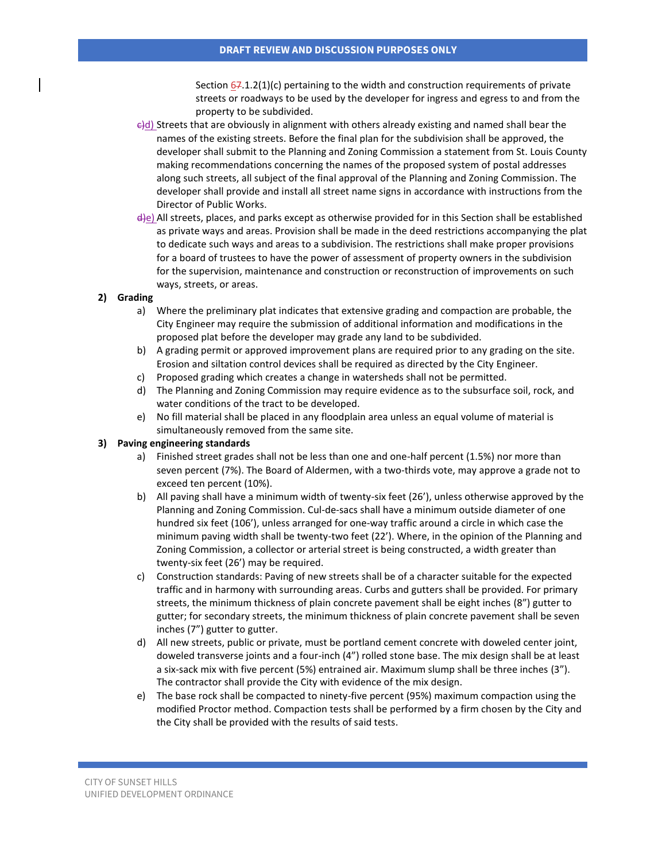Section  $67.1.2(1)(c)$  pertaining to the width and construction requirements of private streets or roadways to be used by the developer for ingress and egress to and from the property to be subdivided.

- $\frac{\partial u}{\partial t}$  Streets that are obviously in alignment with others already existing and named shall bear the names of the existing streets. Before the final plan for the subdivision shall be approved, the developer shall submit to the Planning and Zoning Commission a statement from St. Louis County making recommendations concerning the names of the proposed system of postal addresses along such streets, all subject of the final approval of the Planning and Zoning Commission. The developer shall provide and install all street name signs in accordance with instructions from the Director of Public Works.
- d)e) All streets, places, and parks except as otherwise provided for in this Section shall be established as private ways and areas. Provision shall be made in the deed restrictions accompanying the plat to dedicate such ways and areas to a subdivision. The restrictions shall make proper provisions for a board of trustees to have the power of assessment of property owners in the subdivision for the supervision, maintenance and construction or reconstruction of improvements on such ways, streets, or areas.

#### **2) Grading**

- a) Where the preliminary plat indicates that extensive grading and compaction are probable, the City Engineer may require the submission of additional information and modifications in the proposed plat before the developer may grade any land to be subdivided.
- b) A grading permit or approved improvement plans are required prior to any grading on the site. Erosion and siltation control devices shall be required as directed by the City Engineer.
- c) Proposed grading which creates a change in watersheds shall not be permitted.
- d) The Planning and Zoning Commission may require evidence as to the subsurface soil, rock, and water conditions of the tract to be developed.
- e) No fill material shall be placed in any floodplain area unless an equal volume of material is simultaneously removed from the same site.

### **3) Paving engineering standards**

- a) Finished street grades shall not be less than one and one-half percent (1.5%) nor more than seven percent (7%). The Board of Aldermen, with a two-thirds vote, may approve a grade not to exceed ten percent (10%).
- b) All paving shall have a minimum width of twenty-six feet (26'), unless otherwise approved by the Planning and Zoning Commission. Cul-de-sacs shall have a minimum outside diameter of one hundred six feet (106'), unless arranged for one-way traffic around a circle in which case the minimum paving width shall be twenty-two feet (22'). Where, in the opinion of the Planning and Zoning Commission, a collector or arterial street is being constructed, a width greater than twenty-six feet (26') may be required.
- c) Construction standards: Paving of new streets shall be of a character suitable for the expected traffic and in harmony with surrounding areas. Curbs and gutters shall be provided. For primary streets, the minimum thickness of plain concrete pavement shall be eight inches (8") gutter to gutter; for secondary streets, the minimum thickness of plain concrete pavement shall be seven inches (7") gutter to gutter.
- d) All new streets, public or private, must be portland cement concrete with doweled center joint, doweled transverse joints and a four-inch (4") rolled stone base. The mix design shall be at least a six-sack mix with five percent (5%) entrained air. Maximum slump shall be three inches (3"). The contractor shall provide the City with evidence of the mix design.
- e) The base rock shall be compacted to ninety-five percent (95%) maximum compaction using the modified Proctor method. Compaction tests shall be performed by a firm chosen by the City and the City shall be provided with the results of said tests.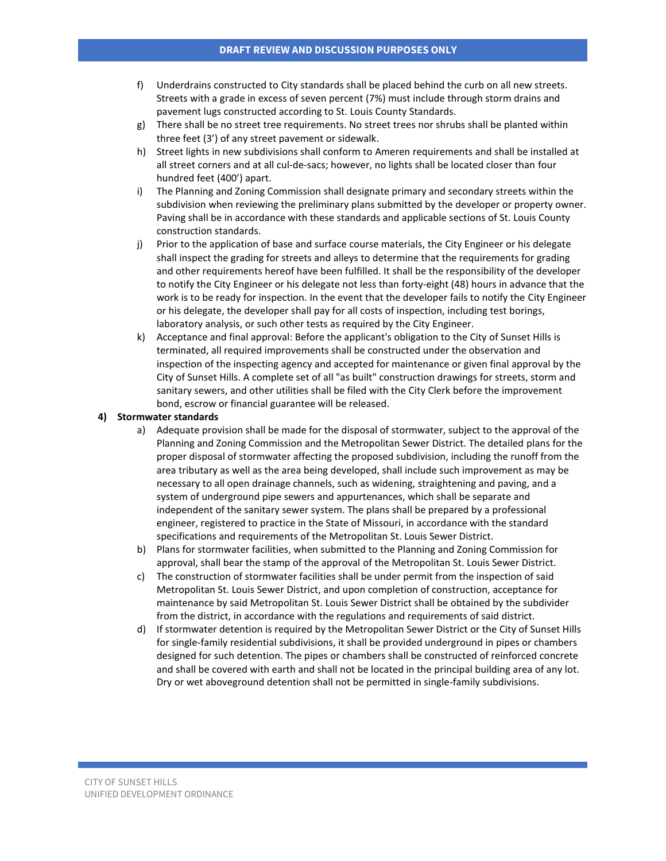- f) Underdrains constructed to City standards shall be placed behind the curb on all new streets. Streets with a grade in excess of seven percent (7%) must include through storm drains and pavement lugs constructed according to St. Louis County Standards.
- g) There shall be no street tree requirements. No street trees nor shrubs shall be planted within three feet (3') of any street pavement or sidewalk.
- h) Street lights in new subdivisions shall conform to Ameren requirements and shall be installed at all street corners and at all cul-de-sacs; however, no lights shall be located closer than four hundred feet (400') apart.
- i) The Planning and Zoning Commission shall designate primary and secondary streets within the subdivision when reviewing the preliminary plans submitted by the developer or property owner. Paving shall be in accordance with these standards and applicable sections of St. Louis County construction standards.
- j) Prior to the application of base and surface course materials, the City Engineer or his delegate shall inspect the grading for streets and alleys to determine that the requirements for grading and other requirements hereof have been fulfilled. It shall be the responsibility of the developer to notify the City Engineer or his delegate not less than forty-eight (48) hours in advance that the work is to be ready for inspection. In the event that the developer fails to notify the City Engineer or his delegate, the developer shall pay for all costs of inspection, including test borings, laboratory analysis, or such other tests as required by the City Engineer.
- k) Acceptance and final approval: Before the applicant's obligation to the City of Sunset Hills is terminated, all required improvements shall be constructed under the observation and inspection of the inspecting agency and accepted for maintenance or given final approval by the City of Sunset Hills. A complete set of all "as built" construction drawings for streets, storm and sanitary sewers, and other utilities shall be filed with the City Clerk before the improvement bond, escrow or financial guarantee will be released.

#### **4) Stormwater standards**

- a) Adequate provision shall be made for the disposal of stormwater, subject to the approval of the Planning and Zoning Commission and the Metropolitan Sewer District. The detailed plans for the proper disposal of stormwater affecting the proposed subdivision, including the runoff from the area tributary as well as the area being developed, shall include such improvement as may be necessary to all open drainage channels, such as widening, straightening and paving, and a system of underground pipe sewers and appurtenances, which shall be separate and independent of the sanitary sewer system. The plans shall be prepared by a professional engineer, registered to practice in the State of Missouri, in accordance with the standard specifications and requirements of the Metropolitan St. Louis Sewer District.
- b) Plans for stormwater facilities, when submitted to the Planning and Zoning Commission for approval, shall bear the stamp of the approval of the Metropolitan St. Louis Sewer District.
- c) The construction of stormwater facilities shall be under permit from the inspection of said Metropolitan St. Louis Sewer District, and upon completion of construction, acceptance for maintenance by said Metropolitan St. Louis Sewer District shall be obtained by the subdivider from the district, in accordance with the regulations and requirements of said district.
- d) If stormwater detention is required by the Metropolitan Sewer District or the City of Sunset Hills for single-family residential subdivisions, it shall be provided underground in pipes or chambers designed for such detention. The pipes or chambers shall be constructed of reinforced concrete and shall be covered with earth and shall not be located in the principal building area of any lot. Dry or wet aboveground detention shall not be permitted in single-family subdivisions.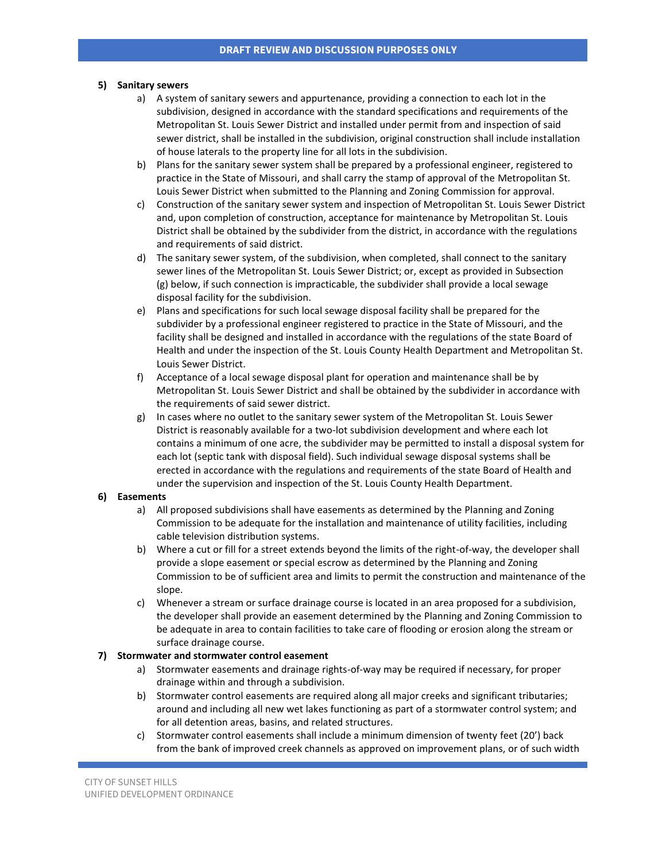### **5) Sanitary sewers**

- a) A system of sanitary sewers and appurtenance, providing a connection to each lot in the subdivision, designed in accordance with the standard specifications and requirements of the Metropolitan St. Louis Sewer District and installed under permit from and inspection of said sewer district, shall be installed in the subdivision, original construction shall include installation of house laterals to the property line for all lots in the subdivision.
- b) Plans for the sanitary sewer system shall be prepared by a professional engineer, registered to practice in the State of Missouri, and shall carry the stamp of approval of the Metropolitan St. Louis Sewer District when submitted to the Planning and Zoning Commission for approval.
- c) Construction of the sanitary sewer system and inspection of Metropolitan St. Louis Sewer District and, upon completion of construction, acceptance for maintenance by Metropolitan St. Louis District shall be obtained by the subdivider from the district, in accordance with the regulations and requirements of said district.
- d) The sanitary sewer system, of the subdivision, when completed, shall connect to the sanitary sewer lines of the Metropolitan St. Louis Sewer District; or, except as provided in Subsection (g) below, if such connection is impracticable, the subdivider shall provide a local sewage disposal facility for the subdivision.
- e) Plans and specifications for such local sewage disposal facility shall be prepared for the subdivider by a professional engineer registered to practice in the State of Missouri, and the facility shall be designed and installed in accordance with the regulations of the state Board of Health and under the inspection of the St. Louis County Health Department and Metropolitan St. Louis Sewer District.
- f) Acceptance of a local sewage disposal plant for operation and maintenance shall be by Metropolitan St. Louis Sewer District and shall be obtained by the subdivider in accordance with the requirements of said sewer district.
- g) In cases where no outlet to the sanitary sewer system of the Metropolitan St. Louis Sewer District is reasonably available for a two-lot subdivision development and where each lot contains a minimum of one acre, the subdivider may be permitted to install a disposal system for each lot (septic tank with disposal field). Such individual sewage disposal systems shall be erected in accordance with the regulations and requirements of the state Board of Health and under the supervision and inspection of the St. Louis County Health Department.

#### **6) Easements**

- a) All proposed subdivisions shall have easements as determined by the Planning and Zoning Commission to be adequate for the installation and maintenance of utility facilities, including cable television distribution systems.
- b) Where a cut or fill for a street extends beyond the limits of the right-of-way, the developer shall provide a slope easement or special escrow as determined by the Planning and Zoning Commission to be of sufficient area and limits to permit the construction and maintenance of the slope.
- c) Whenever a stream or surface drainage course is located in an area proposed for a subdivision, the developer shall provide an easement determined by the Planning and Zoning Commission to be adequate in area to contain facilities to take care of flooding or erosion along the stream or surface drainage course.

### **7) Stormwater and stormwater control easement**

- a) Stormwater easements and drainage rights-of-way may be required if necessary, for proper drainage within and through a subdivision.
- b) Stormwater control easements are required along all major creeks and significant tributaries; around and including all new wet lakes functioning as part of a stormwater control system; and for all detention areas, basins, and related structures.
- c) Stormwater control easements shall include a minimum dimension of twenty feet (20') back from the bank of improved creek channels as approved on improvement plans, or of such width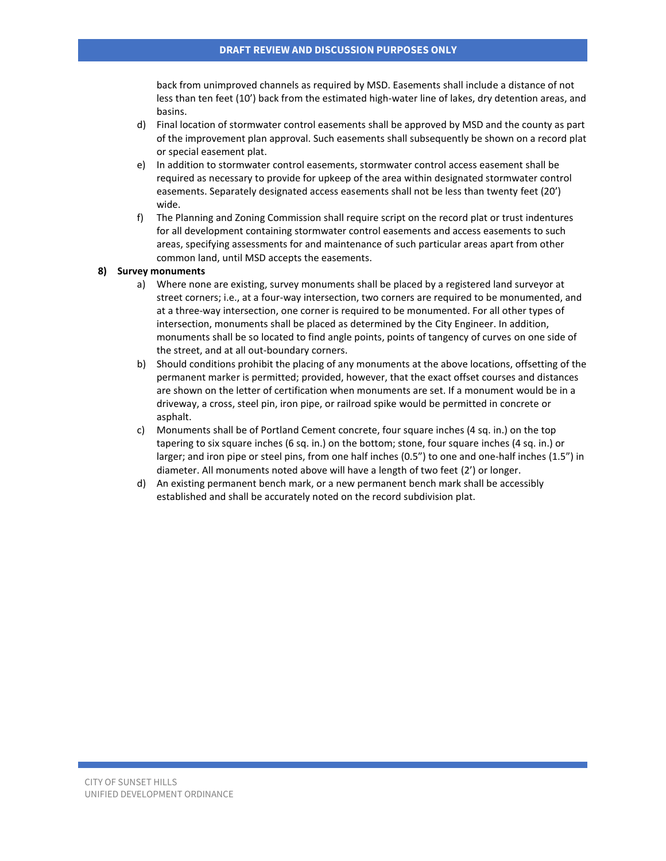back from unimproved channels as required by MSD. Easements shall include a distance of not less than ten feet (10') back from the estimated high-water line of lakes, dry detention areas, and basins.

- d) Final location of stormwater control easements shall be approved by MSD and the county as part of the improvement plan approval. Such easements shall subsequently be shown on a record plat or special easement plat.
- e) In addition to stormwater control easements, stormwater control access easement shall be required as necessary to provide for upkeep of the area within designated stormwater control easements. Separately designated access easements shall not be less than twenty feet (20') wide.
- f) The Planning and Zoning Commission shall require script on the record plat or trust indentures for all development containing stormwater control easements and access easements to such areas, specifying assessments for and maintenance of such particular areas apart from other common land, until MSD accepts the easements.

#### **8) Survey monuments**

- a) Where none are existing, survey monuments shall be placed by a registered land surveyor at street corners; i.e., at a four-way intersection, two corners are required to be monumented, and at a three-way intersection, one corner is required to be monumented. For all other types of intersection, monuments shall be placed as determined by the City Engineer. In addition, monuments shall be so located to find angle points, points of tangency of curves on one side of the street, and at all out-boundary corners.
- b) Should conditions prohibit the placing of any monuments at the above locations, offsetting of the permanent marker is permitted; provided, however, that the exact offset courses and distances are shown on the letter of certification when monuments are set. If a monument would be in a driveway, a cross, steel pin, iron pipe, or railroad spike would be permitted in concrete or asphalt.
- c) Monuments shall be of Portland Cement concrete, four square inches (4 sq. in.) on the top tapering to six square inches (6 sq. in.) on the bottom; stone, four square inches (4 sq. in.) or larger; and iron pipe or steel pins, from one half inches (0.5") to one and one-half inches (1.5") in diameter. All monuments noted above will have a length of two feet (2') or longer.
- d) An existing permanent bench mark, or a new permanent bench mark shall be accessibly established and shall be accurately noted on the record subdivision plat.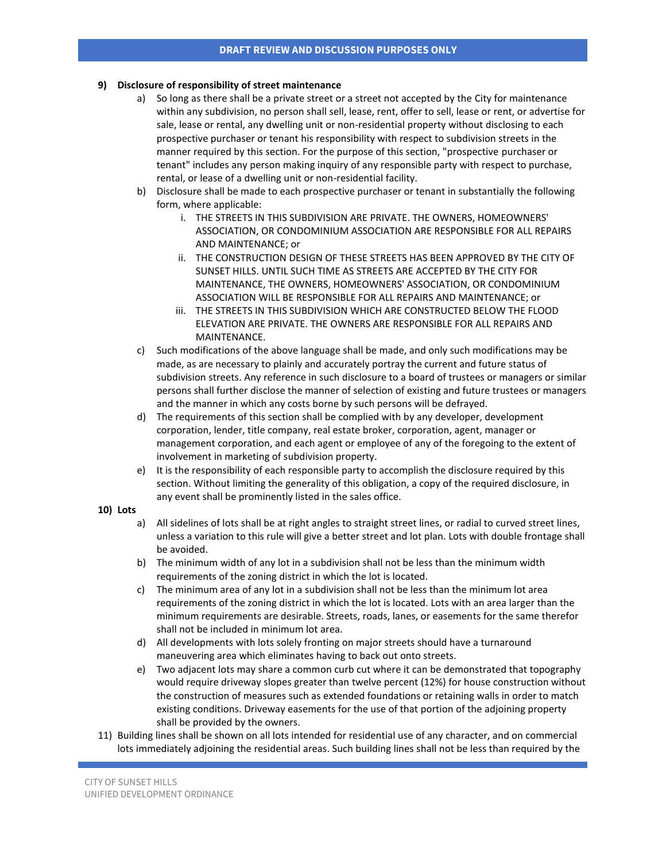### **9) Disclosure of responsibility of street maintenance**

- a) So long as there shall be a private street or a street not accepted by the City for maintenance within any subdivision, no person shall sell, lease, rent, offer to sell, lease or rent, or advertise for sale, lease or rental, any dwelling unit or non-residential property without disclosing to each prospective purchaser or tenant his responsibility with respect to subdivision streets in the manner required by this section. For the purpose of this section, "prospective purchaser or tenant" includes any person making inquiry of any responsible party with respect to purchase, rental, or lease of a dwelling unit or non-residential facility.
- b) Disclosure shall be made to each prospective purchaser or tenant in substantially the following form, where applicable:
	- i. THE STREETS IN THIS SUBDIVISION ARE PRIVATE. THE OWNERS, HOMEOWNERS' ASSOCIATION, OR CONDOMINIUM ASSOCIATION ARE RESPONSIBLE FOR ALL REPAIRS AND MAINTENANCE; or
	- ii. THE CONSTRUCTION DESIGN OF THESE STREETS HAS BEEN APPROVED BY THE CITY OF SUNSET HILLS. UNTIL SUCH TIME AS STREETS ARE ACCEPTED BY THE CITY FOR MAINTENANCE, THE OWNERS, HOMEOWNERS' ASSOCIATION, OR CONDOMINIUM ASSOCIATION WILL BE RESPONSIBLE FOR ALL REPAIRS AND MAINTENANCE; or
	- iii. THE STREETS IN THIS SUBDIVISION WHICH ARE CONSTRUCTED BELOW THE FLOOD ELEVATION ARE PRIVATE. THE OWNERS ARE RESPONSIBLE FOR ALL REPAIRS AND MAINTENANCE.
- c) Such modifications of the above language shall be made, and only such modifications may be made, as are necessary to plainly and accurately portray the current and future status of subdivision streets. Any reference in such disclosure to a board of trustees or managers or similar persons shall further disclose the manner of selection of existing and future trustees or managers and the manner in which any costs borne by such persons will be defrayed.
- d) The requirements of this section shall be complied with by any developer, development corporation, lender, title company, real estate broker, corporation, agent, manager or management corporation, and each agent or employee of any of the foregoing to the extent of involvement in marketing of subdivision property.
- e) It is the responsibility of each responsible party to accomplish the disclosure required by this section. Without limiting the generality of this obligation, a copy of the required disclosure, in any event shall be prominently listed in the sales office.

#### **10) Lots**

- a) All sidelines of lots shall be at right angles to straight street lines, or radial to curved street lines, unless a variation to this rule will give a better street and lot plan. Lots with double frontage shall be avoided.
- b) The minimum width of any lot in a subdivision shall not be less than the minimum width requirements of the zoning district in which the lot is located.
- c) The minimum area of any lot in a subdivision shall not be less than the minimum lot area requirements of the zoning district in which the lot is located. Lots with an area larger than the minimum requirements are desirable. Streets, roads, lanes, or easements for the same therefor shall not be included in minimum lot area.
- d) All developments with lots solely fronting on major streets should have a turnaround maneuvering area which eliminates having to back out onto streets.
- e) Two adjacent lots may share a common curb cut where it can be demonstrated that topography would require driveway slopes greater than twelve percent (12%) for house construction without the construction of measures such as extended foundations or retaining walls in order to match existing conditions. Driveway easements for the use of that portion of the adjoining property shall be provided by the owners.
- 11) Building lines shall be shown on all lots intended for residential use of any character, and on commercial lots immediately adjoining the residential areas. Such building lines shall not be less than required by the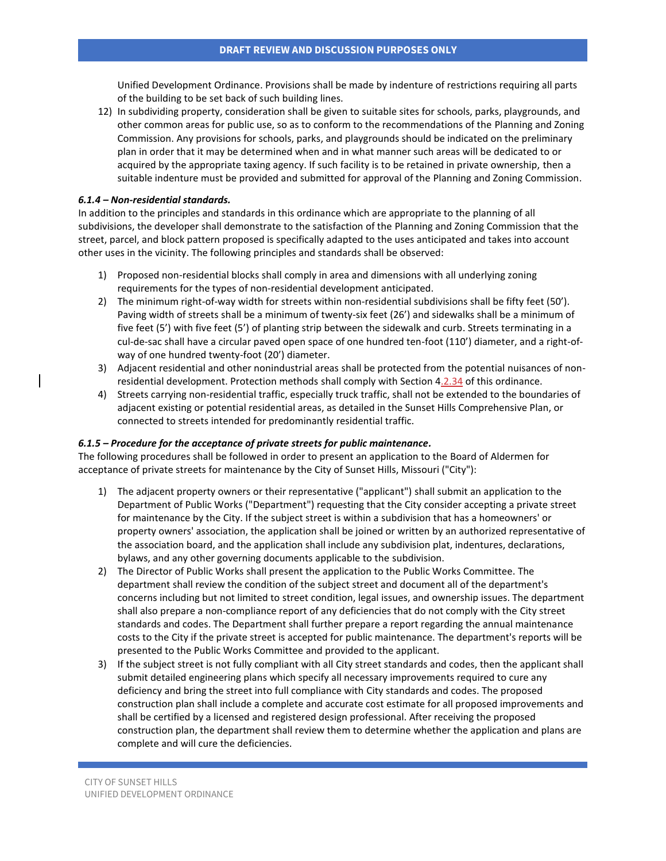Unified Development Ordinance. Provisions shall be made by indenture of restrictions requiring all parts of the building to be set back of such building lines.

12) In subdividing property, consideration shall be given to suitable sites for schools, parks, playgrounds, and other common areas for public use, so as to conform to the recommendations of the Planning and Zoning Commission. Any provisions for schools, parks, and playgrounds should be indicated on the preliminary plan in order that it may be determined when and in what manner such areas will be dedicated to or acquired by the appropriate taxing agency. If such facility is to be retained in private ownership, then a suitable indenture must be provided and submitted for approval of the Planning and Zoning Commission.

### *6.1.4 – Non-residential standards.*

In addition to the principles and standards in this ordinance which are appropriate to the planning of all subdivisions, the developer shall demonstrate to the satisfaction of the Planning and Zoning Commission that the street, parcel, and block pattern proposed is specifically adapted to the uses anticipated and takes into account other uses in the vicinity. The following principles and standards shall be observed:

- 1) Proposed non-residential blocks shall comply in area and dimensions with all underlying zoning requirements for the types of non-residential development anticipated.
- 2) The minimum right-of-way width for streets within non-residential subdivisions shall be fifty feet (50'). Paving width of streets shall be a minimum of twenty-six feet (26') and sidewalks shall be a minimum of five feet (5') with five feet (5') of planting strip between the sidewalk and curb. Streets terminating in a cul-de-sac shall have a circular paved open space of one hundred ten-foot (110') diameter, and a right-ofway of one hundred twenty-foot (20') diameter.
- 3) Adjacent residential and other nonindustrial areas shall be protected from the potential nuisances of nonresidential development. Protection methods shall comply with Section 4.2.34 of this ordinance.
- 4) Streets carrying non-residential traffic, especially truck traffic, shall not be extended to the boundaries of adjacent existing or potential residential areas, as detailed in the Sunset Hills Comprehensive Plan, or connected to streets intended for predominantly residential traffic.

### *6.1.5 – Procedure for the acceptance of private streets for public maintenance.*

The following procedures shall be followed in order to present an application to the Board of Aldermen for acceptance of private streets for maintenance by the City of Sunset Hills, Missouri ("City"):

- 1) The adjacent property owners or their representative ("applicant") shall submit an application to the Department of Public Works ("Department") requesting that the City consider accepting a private street for maintenance by the City. If the subject street is within a subdivision that has a homeowners' or property owners' association, the application shall be joined or written by an authorized representative of the association board, and the application shall include any subdivision plat, indentures, declarations, bylaws, and any other governing documents applicable to the subdivision.
- 2) The Director of Public Works shall present the application to the Public Works Committee. The department shall review the condition of the subject street and document all of the department's concerns including but not limited to street condition, legal issues, and ownership issues. The department shall also prepare a non-compliance report of any deficiencies that do not comply with the City street standards and codes. The Department shall further prepare a report regarding the annual maintenance costs to the City if the private street is accepted for public maintenance. The department's reports will be presented to the Public Works Committee and provided to the applicant.
- 3) If the subject street is not fully compliant with all City street standards and codes, then the applicant shall submit detailed engineering plans which specify all necessary improvements required to cure any deficiency and bring the street into full compliance with City standards and codes. The proposed construction plan shall include a complete and accurate cost estimate for all proposed improvements and shall be certified by a licensed and registered design professional. After receiving the proposed construction plan, the department shall review them to determine whether the application and plans are complete and will cure the deficiencies.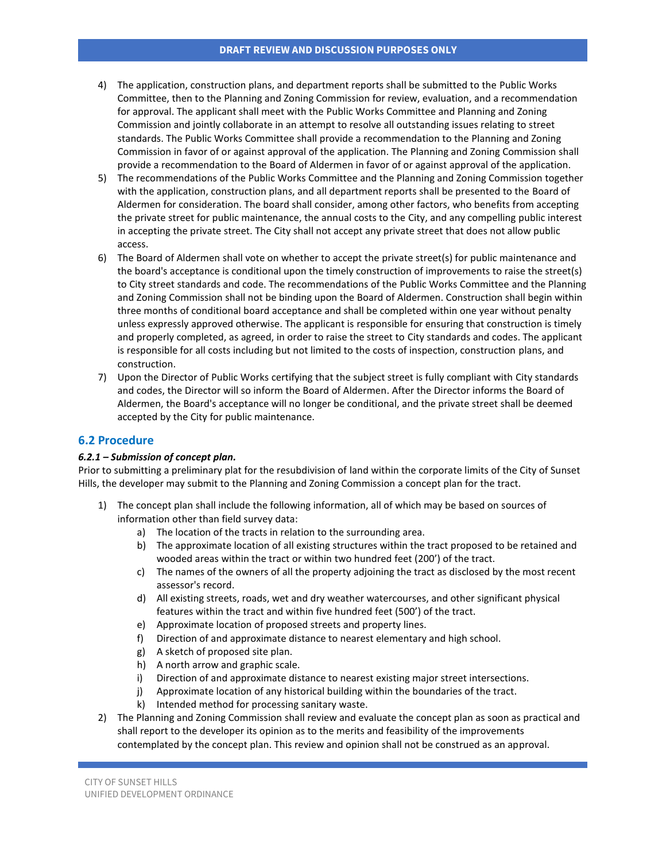- 4) The application, construction plans, and department reports shall be submitted to the Public Works Committee, then to the Planning and Zoning Commission for review, evaluation, and a recommendation for approval. The applicant shall meet with the Public Works Committee and Planning and Zoning Commission and jointly collaborate in an attempt to resolve all outstanding issues relating to street standards. The Public Works Committee shall provide a recommendation to the Planning and Zoning Commission in favor of or against approval of the application. The Planning and Zoning Commission shall provide a recommendation to the Board of Aldermen in favor of or against approval of the application.
- 5) The recommendations of the Public Works Committee and the Planning and Zoning Commission together with the application, construction plans, and all department reports shall be presented to the Board of Aldermen for consideration. The board shall consider, among other factors, who benefits from accepting the private street for public maintenance, the annual costs to the City, and any compelling public interest in accepting the private street. The City shall not accept any private street that does not allow public access.
- 6) The Board of Aldermen shall vote on whether to accept the private street(s) for public maintenance and the board's acceptance is conditional upon the timely construction of improvements to raise the street(s) to City street standards and code. The recommendations of the Public Works Committee and the Planning and Zoning Commission shall not be binding upon the Board of Aldermen. Construction shall begin within three months of conditional board acceptance and shall be completed within one year without penalty unless expressly approved otherwise. The applicant is responsible for ensuring that construction is timely and properly completed, as agreed, in order to raise the street to City standards and codes. The applicant is responsible for all costs including but not limited to the costs of inspection, construction plans, and construction.
- 7) Upon the Director of Public Works certifying that the subject street is fully compliant with City standards and codes, the Director will so inform the Board of Aldermen. After the Director informs the Board of Aldermen, the Board's acceptance will no longer be conditional, and the private street shall be deemed accepted by the City for public maintenance.

### **6.2 Procedure**

### *6.2.1 – Submission of concept plan.*

Prior to submitting a preliminary plat for the resubdivision of land within the corporate limits of the City of Sunset Hills, the developer may submit to the Planning and Zoning Commission a concept plan for the tract.

- 1) The concept plan shall include the following information, all of which may be based on sources of information other than field survey data:
	- a) The location of the tracts in relation to the surrounding area.
	- b) The approximate location of all existing structures within the tract proposed to be retained and wooded areas within the tract or within two hundred feet (200') of the tract.
	- c) The names of the owners of all the property adjoining the tract as disclosed by the most recent assessor's record.
	- d) All existing streets, roads, wet and dry weather watercourses, and other significant physical features within the tract and within five hundred feet (500') of the tract.
	- e) Approximate location of proposed streets and property lines.
	- f) Direction of and approximate distance to nearest elementary and high school.
	- g) A sketch of proposed site plan.
	- h) A north arrow and graphic scale.
	- i) Direction of and approximate distance to nearest existing major street intersections.
	- j) Approximate location of any historical building within the boundaries of the tract.
	- k) Intended method for processing sanitary waste.
- 2) The Planning and Zoning Commission shall review and evaluate the concept plan as soon as practical and shall report to the developer its opinion as to the merits and feasibility of the improvements contemplated by the concept plan. This review and opinion shall not be construed as an approval.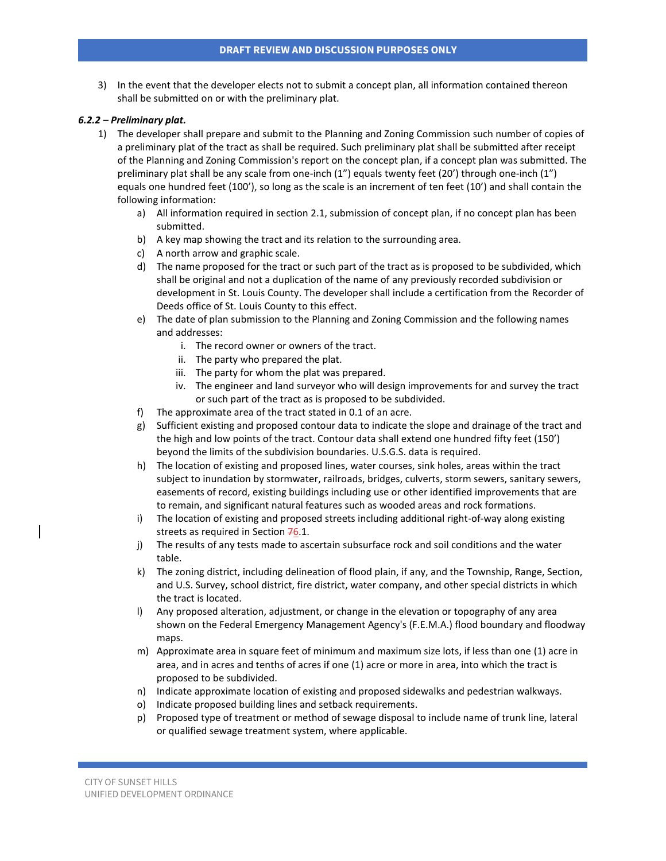3) In the event that the developer elects not to submit a concept plan, all information contained thereon shall be submitted on or with the preliminary plat.

#### *6.2.2 – Preliminary plat.*

- 1) The developer shall prepare and submit to the Planning and Zoning Commission such number of copies of a preliminary plat of the tract as shall be required. Such preliminary plat shall be submitted after receipt of the Planning and Zoning Commission's report on the concept plan, if a concept plan was submitted. The preliminary plat shall be any scale from one-inch (1") equals twenty feet (20') through one-inch (1") equals one hundred feet (100'), so long as the scale is an increment of ten feet (10') and shall contain the following information:
	- a) All information required in section 2.1, submission of concept plan, if no concept plan has been submitted.
	- b) A key map showing the tract and its relation to the surrounding area.
	- c) A north arrow and graphic scale.
	- d) The name proposed for the tract or such part of the tract as is proposed to be subdivided, which shall be original and not a duplication of the name of any previously recorded subdivision or development in St. Louis County. The developer shall include a certification from the Recorder of Deeds office of St. Louis County to this effect.
	- e) The date of plan submission to the Planning and Zoning Commission and the following names and addresses:
		- i. The record owner or owners of the tract.
		- ii. The party who prepared the plat.
		- iii. The party for whom the plat was prepared.
		- iv. The engineer and land surveyor who will design improvements for and survey the tract or such part of the tract as is proposed to be subdivided.
	- f) The approximate area of the tract stated in 0.1 of an acre.
	- g) Sufficient existing and proposed contour data to indicate the slope and drainage of the tract and the high and low points of the tract. Contour data shall extend one hundred fifty feet (150') beyond the limits of the subdivision boundaries. U.S.G.S. data is required.
	- h) The location of existing and proposed lines, water courses, sink holes, areas within the tract subject to inundation by stormwater, railroads, bridges, culverts, storm sewers, sanitary sewers, easements of record, existing buildings including use or other identified improvements that are to remain, and significant natural features such as wooded areas and rock formations.
	- i) The location of existing and proposed streets including additional right-of-way along existing streets as required in Section  $76.1$ .
	- j) The results of any tests made to ascertain subsurface rock and soil conditions and the water table.
	- k) The zoning district, including delineation of flood plain, if any, and the Township, Range, Section, and U.S. Survey, school district, fire district, water company, and other special districts in which the tract is located.
	- l) Any proposed alteration, adjustment, or change in the elevation or topography of any area shown on the Federal Emergency Management Agency's (F.E.M.A.) flood boundary and floodway maps.
	- m) Approximate area in square feet of minimum and maximum size lots, if less than one (1) acre in area, and in acres and tenths of acres if one (1) acre or more in area, into which the tract is proposed to be subdivided.
	- n) Indicate approximate location of existing and proposed sidewalks and pedestrian walkways.
	- o) Indicate proposed building lines and setback requirements.
	- p) Proposed type of treatment or method of sewage disposal to include name of trunk line, lateral or qualified sewage treatment system, where applicable.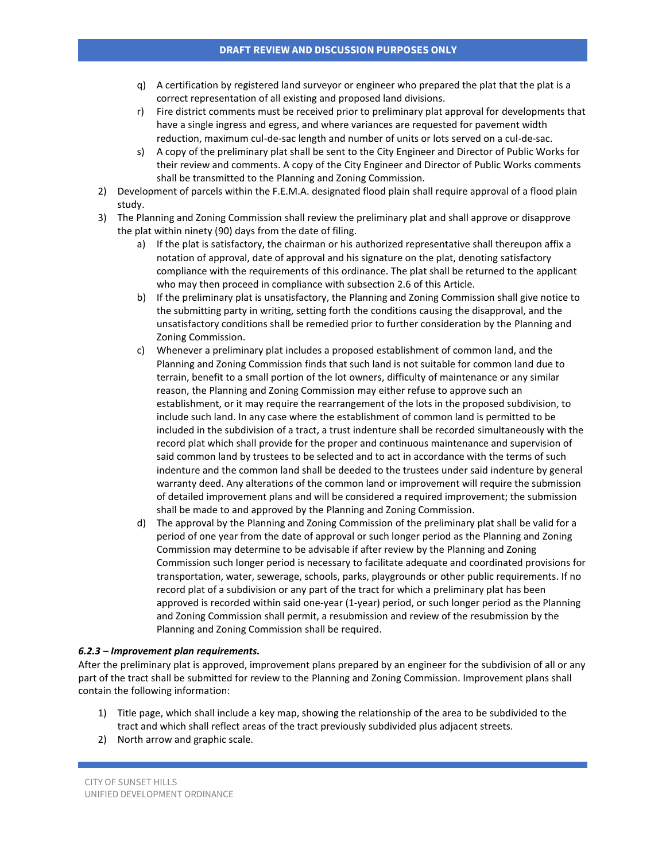- q) A certification by registered land surveyor or engineer who prepared the plat that the plat is a correct representation of all existing and proposed land divisions.
- r) Fire district comments must be received prior to preliminary plat approval for developments that have a single ingress and egress, and where variances are requested for pavement width reduction, maximum cul-de-sac length and number of units or lots served on a cul-de-sac.
- s) A copy of the preliminary plat shall be sent to the City Engineer and Director of Public Works for their review and comments. A copy of the City Engineer and Director of Public Works comments shall be transmitted to the Planning and Zoning Commission.
- 2) Development of parcels within the F.E.M.A. designated flood plain shall require approval of a flood plain study.
- 3) The Planning and Zoning Commission shall review the preliminary plat and shall approve or disapprove the plat within ninety (90) days from the date of filing.
	- a) If the plat is satisfactory, the chairman or his authorized representative shall thereupon affix a notation of approval, date of approval and his signature on the plat, denoting satisfactory compliance with the requirements of this ordinance. The plat shall be returned to the applicant who may then proceed in compliance with subsection 2.6 of this Article.
	- b) If the preliminary plat is unsatisfactory, the Planning and Zoning Commission shall give notice to the submitting party in writing, setting forth the conditions causing the disapproval, and the unsatisfactory conditions shall be remedied prior to further consideration by the Planning and Zoning Commission.
	- c) Whenever a preliminary plat includes a proposed establishment of common land, and the Planning and Zoning Commission finds that such land is not suitable for common land due to terrain, benefit to a small portion of the lot owners, difficulty of maintenance or any similar reason, the Planning and Zoning Commission may either refuse to approve such an establishment, or it may require the rearrangement of the lots in the proposed subdivision, to include such land. In any case where the establishment of common land is permitted to be included in the subdivision of a tract, a trust indenture shall be recorded simultaneously with the record plat which shall provide for the proper and continuous maintenance and supervision of said common land by trustees to be selected and to act in accordance with the terms of such indenture and the common land shall be deeded to the trustees under said indenture by general warranty deed. Any alterations of the common land or improvement will require the submission of detailed improvement plans and will be considered a required improvement; the submission shall be made to and approved by the Planning and Zoning Commission.
	- d) The approval by the Planning and Zoning Commission of the preliminary plat shall be valid for a period of one year from the date of approval or such longer period as the Planning and Zoning Commission may determine to be advisable if after review by the Planning and Zoning Commission such longer period is necessary to facilitate adequate and coordinated provisions for transportation, water, sewerage, schools, parks, playgrounds or other public requirements. If no record plat of a subdivision or any part of the tract for which a preliminary plat has been approved is recorded within said one-year (1-year) period, or such longer period as the Planning and Zoning Commission shall permit, a resubmission and review of the resubmission by the Planning and Zoning Commission shall be required.

#### *6.2.3 – Improvement plan requirements.*

After the preliminary plat is approved, improvement plans prepared by an engineer for the subdivision of all or any part of the tract shall be submitted for review to the Planning and Zoning Commission. Improvement plans shall contain the following information:

- 1) Title page, which shall include a key map, showing the relationship of the area to be subdivided to the tract and which shall reflect areas of the tract previously subdivided plus adjacent streets.
- 2) North arrow and graphic scale.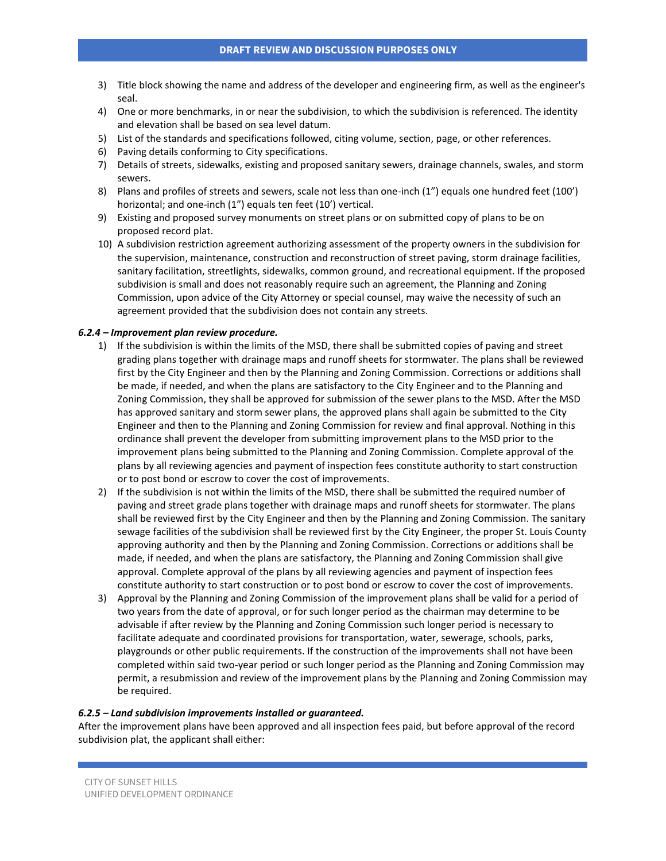- 3) Title block showing the name and address of the developer and engineering firm, as well as the engineer's seal.
- 4) One or more benchmarks, in or near the subdivision, to which the subdivision is referenced. The identity and elevation shall be based on sea level datum.
- 5) List of the standards and specifications followed, citing volume, section, page, or other references.
- 6) Paving details conforming to City specifications.
- 7) Details of streets, sidewalks, existing and proposed sanitary sewers, drainage channels, swales, and storm sewers.
- 8) Plans and profiles of streets and sewers, scale not less than one-inch (1") equals one hundred feet (100') horizontal; and one-inch (1") equals ten feet (10') vertical.
- 9) Existing and proposed survey monuments on street plans or on submitted copy of plans to be on proposed record plat.
- 10) A subdivision restriction agreement authorizing assessment of the property owners in the subdivision for the supervision, maintenance, construction and reconstruction of street paving, storm drainage facilities, sanitary facilitation, streetlights, sidewalks, common ground, and recreational equipment. If the proposed subdivision is small and does not reasonably require such an agreement, the Planning and Zoning Commission, upon advice of the City Attorney or special counsel, may waive the necessity of such an agreement provided that the subdivision does not contain any streets.

#### *6.2.4 – Improvement plan review procedure.*

- 1) If the subdivision is within the limits of the MSD, there shall be submitted copies of paving and street grading plans together with drainage maps and runoff sheets for stormwater. The plans shall be reviewed first by the City Engineer and then by the Planning and Zoning Commission. Corrections or additions shall be made, if needed, and when the plans are satisfactory to the City Engineer and to the Planning and Zoning Commission, they shall be approved for submission of the sewer plans to the MSD. After the MSD has approved sanitary and storm sewer plans, the approved plans shall again be submitted to the City Engineer and then to the Planning and Zoning Commission for review and final approval. Nothing in this ordinance shall prevent the developer from submitting improvement plans to the MSD prior to the improvement plans being submitted to the Planning and Zoning Commission. Complete approval of the plans by all reviewing agencies and payment of inspection fees constitute authority to start construction or to post bond or escrow to cover the cost of improvements.
- 2) If the subdivision is not within the limits of the MSD, there shall be submitted the required number of paving and street grade plans together with drainage maps and runoff sheets for stormwater. The plans shall be reviewed first by the City Engineer and then by the Planning and Zoning Commission. The sanitary sewage facilities of the subdivision shall be reviewed first by the City Engineer, the proper St. Louis County approving authority and then by the Planning and Zoning Commission. Corrections or additions shall be made, if needed, and when the plans are satisfactory, the Planning and Zoning Commission shall give approval. Complete approval of the plans by all reviewing agencies and payment of inspection fees constitute authority to start construction or to post bond or escrow to cover the cost of improvements.
- 3) Approval by the Planning and Zoning Commission of the improvement plans shall be valid for a period of two years from the date of approval, or for such longer period as the chairman may determine to be advisable if after review by the Planning and Zoning Commission such longer period is necessary to facilitate adequate and coordinated provisions for transportation, water, sewerage, schools, parks, playgrounds or other public requirements. If the construction of the improvements shall not have been completed within said two-year period or such longer period as the Planning and Zoning Commission may permit, a resubmission and review of the improvement plans by the Planning and Zoning Commission may be required.

#### *6.2.5 – Land subdivision improvements installed or guaranteed.*

After the improvement plans have been approved and all inspection fees paid, but before approval of the record subdivision plat, the applicant shall either: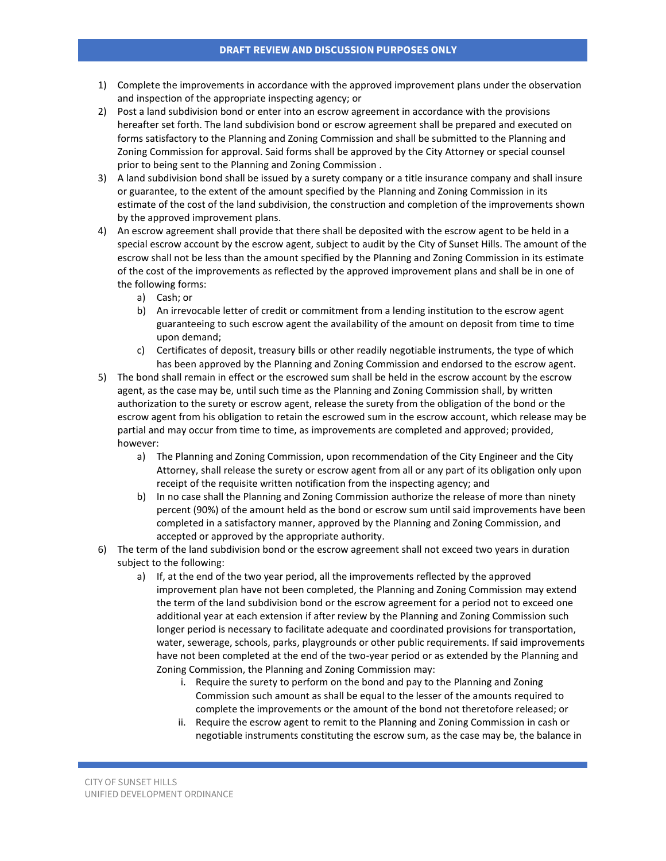- 1) Complete the improvements in accordance with the approved improvement plans under the observation and inspection of the appropriate inspecting agency; or
- 2) Post a land subdivision bond or enter into an escrow agreement in accordance with the provisions hereafter set forth. The land subdivision bond or escrow agreement shall be prepared and executed on forms satisfactory to the Planning and Zoning Commission and shall be submitted to the Planning and Zoning Commission for approval. Said forms shall be approved by the City Attorney or special counsel prior to being sent to the Planning and Zoning Commission .
- 3) A land subdivision bond shall be issued by a surety company or a title insurance company and shall insure or guarantee, to the extent of the amount specified by the Planning and Zoning Commission in its estimate of the cost of the land subdivision, the construction and completion of the improvements shown by the approved improvement plans.
- 4) An escrow agreement shall provide that there shall be deposited with the escrow agent to be held in a special escrow account by the escrow agent, subject to audit by the City of Sunset Hills. The amount of the escrow shall not be less than the amount specified by the Planning and Zoning Commission in its estimate of the cost of the improvements as reflected by the approved improvement plans and shall be in one of the following forms:
	- a) Cash; or
	- b) An irrevocable letter of credit or commitment from a lending institution to the escrow agent guaranteeing to such escrow agent the availability of the amount on deposit from time to time upon demand;
	- c) Certificates of deposit, treasury bills or other readily negotiable instruments, the type of which has been approved by the Planning and Zoning Commission and endorsed to the escrow agent.
- 5) The bond shall remain in effect or the escrowed sum shall be held in the escrow account by the escrow agent, as the case may be, until such time as the Planning and Zoning Commission shall, by written authorization to the surety or escrow agent, release the surety from the obligation of the bond or the escrow agent from his obligation to retain the escrowed sum in the escrow account, which release may be partial and may occur from time to time, as improvements are completed and approved; provided, however:
	- a) The Planning and Zoning Commission, upon recommendation of the City Engineer and the City Attorney, shall release the surety or escrow agent from all or any part of its obligation only upon receipt of the requisite written notification from the inspecting agency; and
	- b) In no case shall the Planning and Zoning Commission authorize the release of more than ninety percent (90%) of the amount held as the bond or escrow sum until said improvements have been completed in a satisfactory manner, approved by the Planning and Zoning Commission, and accepted or approved by the appropriate authority.
- 6) The term of the land subdivision bond or the escrow agreement shall not exceed two years in duration subject to the following:
	- a) If, at the end of the two year period, all the improvements reflected by the approved improvement plan have not been completed, the Planning and Zoning Commission may extend the term of the land subdivision bond or the escrow agreement for a period not to exceed one additional year at each extension if after review by the Planning and Zoning Commission such longer period is necessary to facilitate adequate and coordinated provisions for transportation, water, sewerage, schools, parks, playgrounds or other public requirements. If said improvements have not been completed at the end of the two-year period or as extended by the Planning and Zoning Commission, the Planning and Zoning Commission may:
		- i. Require the surety to perform on the bond and pay to the Planning and Zoning Commission such amount as shall be equal to the lesser of the amounts required to complete the improvements or the amount of the bond not theretofore released; or
		- ii. Require the escrow agent to remit to the Planning and Zoning Commission in cash or negotiable instruments constituting the escrow sum, as the case may be, the balance in

CITY OF SUNSET HILLS UNIFIED DEVELOPMENT ORDINANCE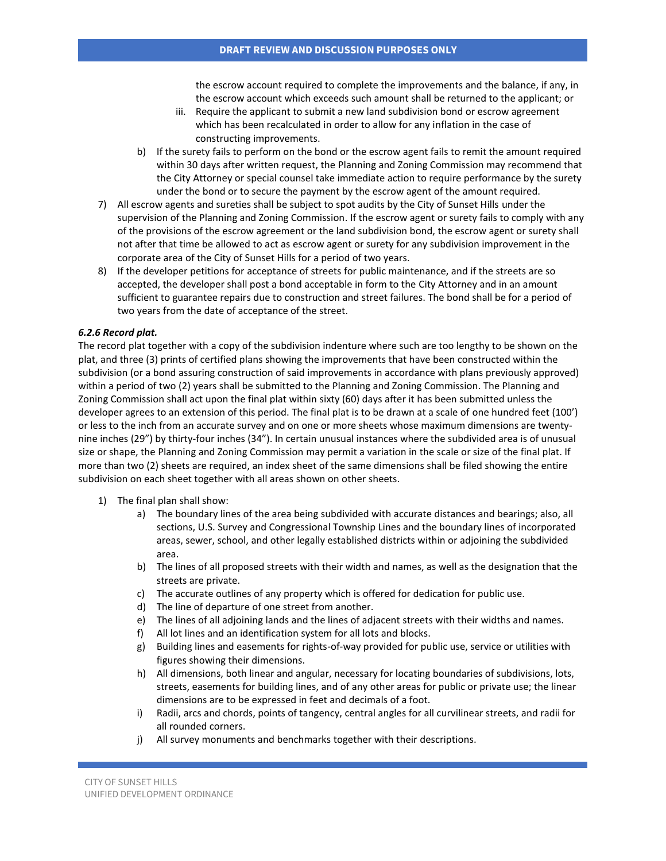the escrow account required to complete the improvements and the balance, if any, in the escrow account which exceeds such amount shall be returned to the applicant; or

- iii. Require the applicant to submit a new land subdivision bond or escrow agreement which has been recalculated in order to allow for any inflation in the case of constructing improvements.
- b) If the surety fails to perform on the bond or the escrow agent fails to remit the amount required within 30 days after written request, the Planning and Zoning Commission may recommend that the City Attorney or special counsel take immediate action to require performance by the surety under the bond or to secure the payment by the escrow agent of the amount required.
- 7) All escrow agents and sureties shall be subject to spot audits by the City of Sunset Hills under the supervision of the Planning and Zoning Commission. If the escrow agent or surety fails to comply with any of the provisions of the escrow agreement or the land subdivision bond, the escrow agent or surety shall not after that time be allowed to act as escrow agent or surety for any subdivision improvement in the corporate area of the City of Sunset Hills for a period of two years.
- 8) If the developer petitions for acceptance of streets for public maintenance, and if the streets are so accepted, the developer shall post a bond acceptable in form to the City Attorney and in an amount sufficient to guarantee repairs due to construction and street failures. The bond shall be for a period of two years from the date of acceptance of the street.

### *6.2.6 Record plat.*

The record plat together with a copy of the subdivision indenture where such are too lengthy to be shown on the plat, and three (3) prints of certified plans showing the improvements that have been constructed within the subdivision (or a bond assuring construction of said improvements in accordance with plans previously approved) within a period of two (2) years shall be submitted to the Planning and Zoning Commission. The Planning and Zoning Commission shall act upon the final plat within sixty (60) days after it has been submitted unless the developer agrees to an extension of this period. The final plat is to be drawn at a scale of one hundred feet (100') or less to the inch from an accurate survey and on one or more sheets whose maximum dimensions are twentynine inches (29") by thirty-four inches (34"). In certain unusual instances where the subdivided area is of unusual size or shape, the Planning and Zoning Commission may permit a variation in the scale or size of the final plat. If more than two (2) sheets are required, an index sheet of the same dimensions shall be filed showing the entire subdivision on each sheet together with all areas shown on other sheets.

- 1) The final plan shall show:
	- a) The boundary lines of the area being subdivided with accurate distances and bearings; also, all sections, U.S. Survey and Congressional Township Lines and the boundary lines of incorporated areas, sewer, school, and other legally established districts within or adjoining the subdivided area.
	- b) The lines of all proposed streets with their width and names, as well as the designation that the streets are private.
	- c) The accurate outlines of any property which is offered for dedication for public use.
	- d) The line of departure of one street from another.
	- e) The lines of all adjoining lands and the lines of adjacent streets with their widths and names.
	- f) All lot lines and an identification system for all lots and blocks.
	- g) Building lines and easements for rights-of-way provided for public use, service or utilities with figures showing their dimensions.
	- h) All dimensions, both linear and angular, necessary for locating boundaries of subdivisions, lots, streets, easements for building lines, and of any other areas for public or private use; the linear dimensions are to be expressed in feet and decimals of a foot.
	- i) Radii, arcs and chords, points of tangency, central angles for all curvilinear streets, and radii for all rounded corners.
	- j) All survey monuments and benchmarks together with their descriptions.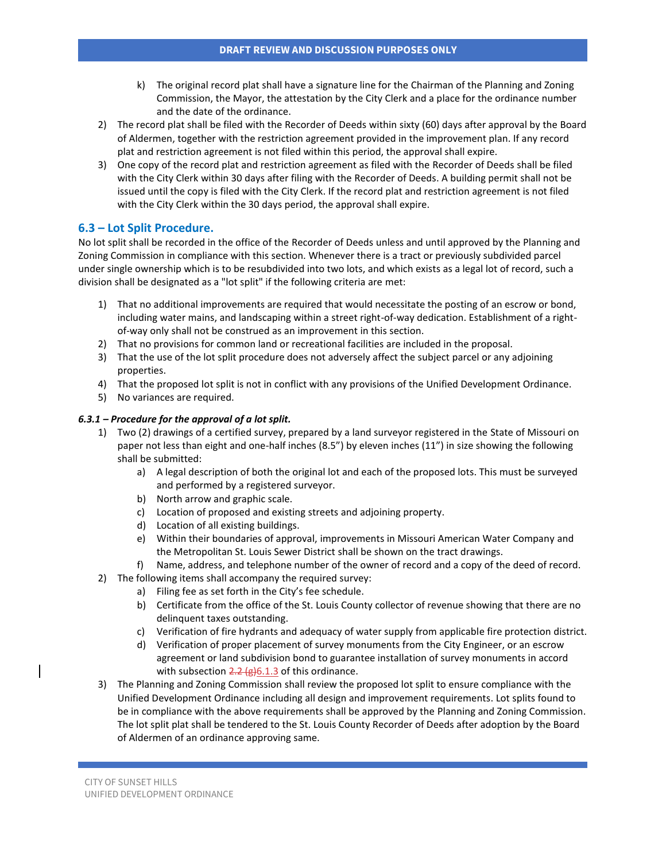- k) The original record plat shall have a signature line for the Chairman of the Planning and Zoning Commission, the Mayor, the attestation by the City Clerk and a place for the ordinance number and the date of the ordinance.
- 2) The record plat shall be filed with the Recorder of Deeds within sixty (60) days after approval by the Board of Aldermen, together with the restriction agreement provided in the improvement plan. If any record plat and restriction agreement is not filed within this period, the approval shall expire.
- 3) One copy of the record plat and restriction agreement as filed with the Recorder of Deeds shall be filed with the City Clerk within 30 days after filing with the Recorder of Deeds. A building permit shall not be issued until the copy is filed with the City Clerk. If the record plat and restriction agreement is not filed with the City Clerk within the 30 days period, the approval shall expire.

# **6.3 – Lot Split Procedure.**

No lot split shall be recorded in the office of the Recorder of Deeds unless and until approved by the Planning and Zoning Commission in compliance with this section. Whenever there is a tract or previously subdivided parcel under single ownership which is to be resubdivided into two lots, and which exists as a legal lot of record, such a division shall be designated as a "lot split" if the following criteria are met:

- 1) That no additional improvements are required that would necessitate the posting of an escrow or bond, including water mains, and landscaping within a street right-of-way dedication. Establishment of a rightof-way only shall not be construed as an improvement in this section.
- 2) That no provisions for common land or recreational facilities are included in the proposal.
- 3) That the use of the lot split procedure does not adversely affect the subject parcel or any adjoining properties.
- 4) That the proposed lot split is not in conflict with any provisions of the Unified Development Ordinance.
- 5) No variances are required.

### *6.3.1 – Procedure for the approval of a lot split.*

- 1) Two (2) drawings of a certified survey, prepared by a land surveyor registered in the State of Missouri on paper not less than eight and one-half inches (8.5") by eleven inches (11") in size showing the following shall be submitted:
	- a) A legal description of both the original lot and each of the proposed lots. This must be surveyed and performed by a registered surveyor.
	- b) North arrow and graphic scale.
	- c) Location of proposed and existing streets and adjoining property.
	- d) Location of all existing buildings.
	- e) Within their boundaries of approval, improvements in Missouri American Water Company and the Metropolitan St. Louis Sewer District shall be shown on the tract drawings.
	- f) Name, address, and telephone number of the owner of record and a copy of the deed of record.
- 2) The following items shall accompany the required survey:
	- a) Filing fee as set forth in the City's fee schedule.
	- b) Certificate from the office of the St. Louis County collector of revenue showing that there are no delinquent taxes outstanding.
	- c) Verification of fire hydrants and adequacy of water supply from applicable fire protection district.
	- d) Verification of proper placement of survey monuments from the City Engineer, or an escrow agreement or land subdivision bond to guarantee installation of survey monuments in accord with subsection  $2.2 \times (g)6.1.3$  of this ordinance.
- 3) The Planning and Zoning Commission shall review the proposed lot split to ensure compliance with the Unified Development Ordinance including all design and improvement requirements. Lot splits found to be in compliance with the above requirements shall be approved by the Planning and Zoning Commission. The lot split plat shall be tendered to the St. Louis County Recorder of Deeds after adoption by the Board of Aldermen of an ordinance approving same.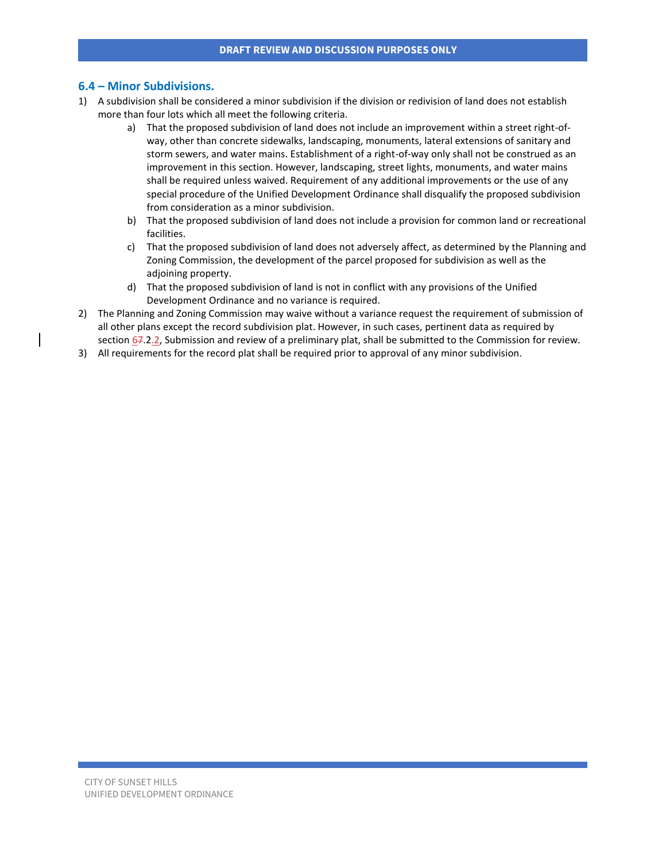### **6.4 – Minor Subdivisions.**

- 1) A subdivision shall be considered a minor subdivision if the division or redivision of land does not establish more than four lots which all meet the following criteria.
	- a) That the proposed subdivision of land does not include an improvement within a street right-ofway, other than concrete sidewalks, landscaping, monuments, lateral extensions of sanitary and storm sewers, and water mains. Establishment of a right-of-way only shall not be construed as an improvement in this section. However, landscaping, street lights, monuments, and water mains shall be required unless waived. Requirement of any additional improvements or the use of any special procedure of the Unified Development Ordinance shall disqualify the proposed subdivision from consideration as a minor subdivision.
	- b) That the proposed subdivision of land does not include a provision for common land or recreational facilities.
	- c) That the proposed subdivision of land does not adversely affect, as determined by the Planning and Zoning Commission, the development of the parcel proposed for subdivision as well as the adjoining property.
	- d) That the proposed subdivision of land is not in conflict with any provisions of the Unified Development Ordinance and no variance is required.
- 2) The Planning and Zoning Commission may waive without a variance request the requirement of submission of all other plans except the record subdivision plat. However, in such cases, pertinent data as required by section 67.2.2, Submission and review of a preliminary plat, shall be submitted to the Commission for review.
- 3) All requirements for the record plat shall be required prior to approval of any minor subdivision.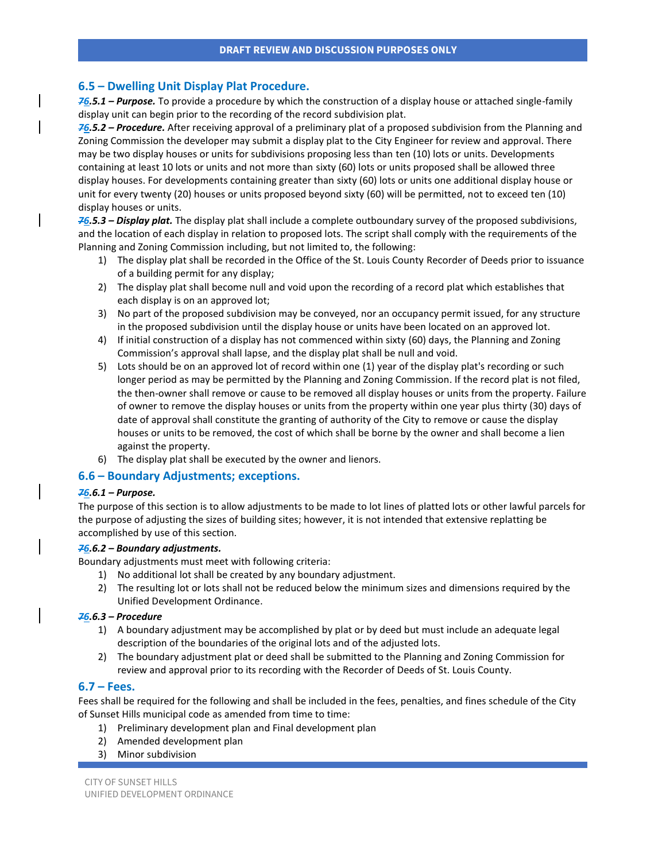### **6.5 – Dwelling Unit Display Plat Procedure.**

*76.5.1 – Purpose.* To provide a procedure by which the construction of a display house or attached single-family display unit can begin prior to the recording of the record subdivision plat.

*76.5.2 – Procedure.* After receiving approval of a preliminary plat of a proposed subdivision from the Planning and Zoning Commission the developer may submit a display plat to the City Engineer for review and approval. There may be two display houses or units for subdivisions proposing less than ten (10) lots or units. Developments containing at least 10 lots or units and not more than sixty (60) lots or units proposed shall be allowed three display houses. For developments containing greater than sixty (60) lots or units one additional display house or unit for every twenty (20) houses or units proposed beyond sixty (60) will be permitted, not to exceed ten (10) display houses or units.

*76.5.3 – Display plat.* The display plat shall include a complete outboundary survey of the proposed subdivisions, and the location of each display in relation to proposed lots. The script shall comply with the requirements of the Planning and Zoning Commission including, but not limited to, the following:

- 1) The display plat shall be recorded in the Office of the St. Louis County Recorder of Deeds prior to issuance of a building permit for any display;
- 2) The display plat shall become null and void upon the recording of a record plat which establishes that each display is on an approved lot;
- 3) No part of the proposed subdivision may be conveyed, nor an occupancy permit issued, for any structure in the proposed subdivision until the display house or units have been located on an approved lot.
- 4) If initial construction of a display has not commenced within sixty (60) days, the Planning and Zoning Commission's approval shall lapse, and the display plat shall be null and void.
- 5) Lots should be on an approved lot of record within one (1) year of the display plat's recording or such longer period as may be permitted by the Planning and Zoning Commission. If the record plat is not filed, the then-owner shall remove or cause to be removed all display houses or units from the property. Failure of owner to remove the display houses or units from the property within one year plus thirty (30) days of date of approval shall constitute the granting of authority of the City to remove or cause the display houses or units to be removed, the cost of which shall be borne by the owner and shall become a lien against the property.
- 6) The display plat shall be executed by the owner and lienors.

### **6.6 – Boundary Adjustments; exceptions.**

#### *76.6.1 – Purpose.*

The purpose of this section is to allow adjustments to be made to lot lines of platted lots or other lawful parcels for the purpose of adjusting the sizes of building sites; however, it is not intended that extensive replatting be accomplished by use of this section.

#### *76.6.2 – Boundary adjustments.*

Boundary adjustments must meet with following criteria:

- 1) No additional lot shall be created by any boundary adjustment.
- 2) The resulting lot or lots shall not be reduced below the minimum sizes and dimensions required by the Unified Development Ordinance.

### *76.6.3 – Procedure*

- 1) A boundary adjustment may be accomplished by plat or by deed but must include an adequate legal description of the boundaries of the original lots and of the adjusted lots.
- 2) The boundary adjustment plat or deed shall be submitted to the Planning and Zoning Commission for review and approval prior to its recording with the Recorder of Deeds of St. Louis County.

### **6.7 – Fees.**

Fees shall be required for the following and shall be included in the fees, penalties, and fines schedule of the City of Sunset Hills municipal code as amended from time to time:

- 1) Preliminary development plan and Final development plan
- 2) Amended development plan
- 3) Minor subdivision